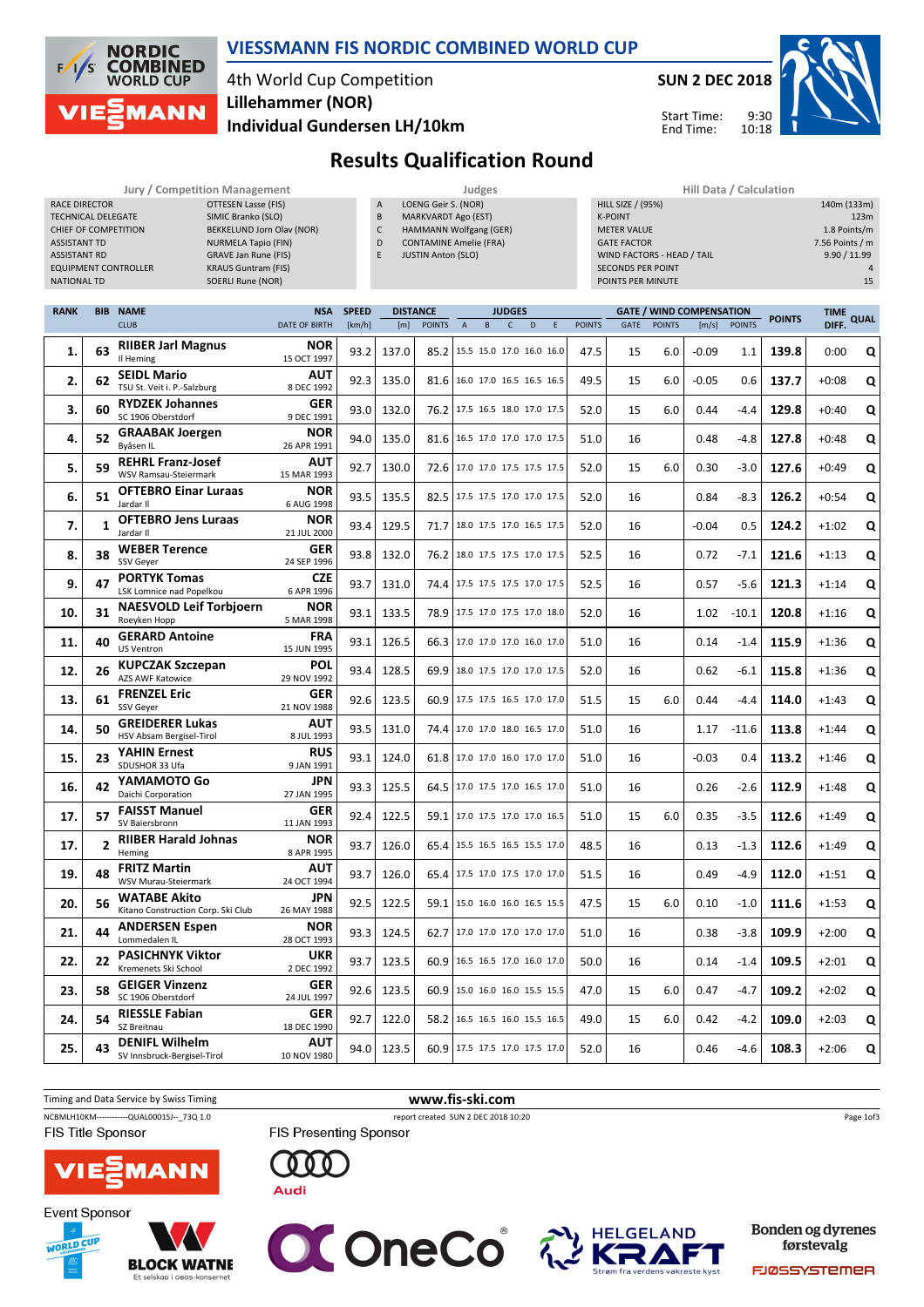

#### VIESSMANN FIS NORDIC COMBINED WORLD CUP

# 4th World Cup Competition Lillehammer (NOR)



Start Time: End Time:

9:30 10:18



Individual Gundersen LH/10km

# Results Qualification Round

|                             | <b>Jury / Competition Management</b> |        | Judges                        | Hill Data / Calculation    |  |  |  |  |  |
|-----------------------------|--------------------------------------|--------|-------------------------------|----------------------------|--|--|--|--|--|
| RACE DIRECTOR               | OTTESEN Lasse (FIS)                  | A      | LOENG Geir S. (NOR)           | <b>HILL SIZE / (95%)</b>   |  |  |  |  |  |
| <b>TECHNICAL DELEGATE</b>   | SIMIC Branko (SLO)                   | B      | MARKVARDT Ago (EST)           | <b>K-POINT</b>             |  |  |  |  |  |
| CHIEF OF COMPETITION        | BEKKELUND Jorn Olav (NOR)            | $\sim$ | HAMMANN Wolfgang (GER)        | <b>METER VALUE</b>         |  |  |  |  |  |
| <b>ASSISTANT TD</b>         | NURMELA Tapio (FIN)                  | D      | <b>CONTAMINE Amelie (FRA)</b> | <b>GATE FACTOR</b>         |  |  |  |  |  |
| <b>ASSISTANT RD</b>         | GRAVE Jan Rune (FIS)                 |        | <b>JUSTIN Anton (SLO)</b>     | WIND FACTORS - HEAD / TAIL |  |  |  |  |  |
| <b>EQUIPMENT CONTROLLER</b> | <b>KRAUS Guntram (FIS)</b>           |        |                               | <b>SECONDS PER POINT</b>   |  |  |  |  |  |
| NATIONAL TD                 | SOERLI Rune (NOR)                    |        |                               | POINTS PER MINUTE          |  |  |  |  |  |
|                             |                                      |        |                               |                            |  |  |  |  |  |

| <b>HIII Data / Calculation</b> |                 |
|--------------------------------|-----------------|
| <b>HILL SIZE / (95%)</b>       | 140m (133m)     |
| <b>K-POINT</b>                 | 123m            |
| <b>METER VALUE</b>             | 1.8 Points/m    |
| <b>GATE FACTOR</b>             | 7.56 Points / m |
| WIND FACTORS - HEAD / TAIL     | 9.90 / 11.99    |
| <b>SECONDS PER POINT</b>       | 4               |
| POINTS PER MINUTE              | 15              |
|                                |                 |

| <b>RANK</b> |                | <b>BIB NAME</b>                                           | <b>NSA</b>                | <b>SPEED</b> | <b>DISTANCE</b> |               |                                 |   | <b>JUDGES</b> |   |             |               |      |               | <b>GATE / WIND COMPENSATION</b> |               | <b>POINTS</b> | <b>TIME</b> | <b>QUAL</b> |
|-------------|----------------|-----------------------------------------------------------|---------------------------|--------------|-----------------|---------------|---------------------------------|---|---------------|---|-------------|---------------|------|---------------|---------------------------------|---------------|---------------|-------------|-------------|
|             |                | <b>CLUB</b>                                               | <b>DATE OF BIRTH</b>      | [km/h]       | [m]             | <b>POINTS</b> | A                               | B | $\mathsf{C}$  | D | $\mathsf E$ | <b>POINTS</b> | GATE | <b>POINTS</b> | [m/s]                           | <b>POINTS</b> |               | DIFF.       |             |
| 1.          | 63             | <b>RIIBER Jarl Magnus</b><br>Il Heming                    | NOR<br>15 OCT 1997        | 93.2         | 137.0           | 85.2          | 15.5 15.0 17.0 16.0 16.0        |   |               |   |             | 47.5          | 15   | 6.0           | $-0.09$                         | 1.1           | 139.8         | 0:00        | Q           |
| 2.          | 62             | <b>SEIDL Mario</b><br>TSU St. Veit i. P.-Salzburg         | AUT<br>8 DEC 1992         | 92.3         | 135.0           |               | 81.6 16.0 17.0 16.5 16.5 16.5   |   |               |   |             | 49.5          | 15   | 6.0           | $-0.05$                         | 0.6           | 137.7         | $+0:08$     | Q           |
| 3.          | 60             | <b>RYDZEK Johannes</b><br>SC 1906 Oberstdorf              | GER<br>9 DEC 1991         | 93.0         | 132.0           | 76.2 l        | 17.5 16.5 18.0 17.0 17.5        |   |               |   |             | 52.0          | 15   | 6.0           | 0.44                            | -4.4          | 129.8         | $+0:40$     | Q           |
| 4.          | 52             | <b>GRAABAK Joergen</b><br>Bvåsen IL                       | NOR<br>26 APR 1991        | 94.0         | 135.0           | 81.6          | 16.5 17.0 17.0 17.0 17.5        |   |               |   |             | 51.0          | 16   |               | 0.48                            | -4.8          | 127.8         | $+0:48$     | Q           |
| 5.          | 59             | <b>REHRL Franz-Josef</b><br>WSV Ramsau-Steiermark         | AUT<br>15 MAR 1993        | 92.7         | 130.0           |               | 72.6   17.0 17.0 17.5 17.5 17.5 |   |               |   |             | 52.0          | 15   | 6.0           | 0.30                            | $-3.0$        | 127.6         | $+0:49$     | Q           |
| 6.          | 51             | <b>OFTEBRO Einar Luraas</b><br>Jardar II                  | NOR<br>6 AUG 1998         | 93.5         | 135.5           |               | 82.5   17.5 17.5 17.0 17.0 17.5 |   |               |   |             | 52.0          | 16   |               | 0.84                            | $-8.3$        | 126.2         | $+0:54$     | Q           |
| 7.          | 1              | <b>OFTEBRO Jens Luraas</b><br>Jardar II                   | <b>NOR</b><br>21 JUL 2000 | 93.4         | 129.5           | 71.7          | 18.0 17.5 17.0 16.5 17.5        |   |               |   |             | 52.0          | 16   |               | $-0.04$                         | 0.5           | 124.2         | $+1:02$     | Q           |
| 8.          | 38             | <b>WEBER Terence</b><br>SSV Geyer                         | <b>GER</b><br>24 SEP 1996 | 93.8         | 132.0           | 76.2          | 18.0 17.5 17.5 17.0 17.5        |   |               |   |             | 52.5          | 16   |               | 0.72                            | $-7.1$        | 121.6         | $+1:13$     | Q           |
| 9.          | 47             | <b>PORTYK Tomas</b><br>LSK Lomnice nad Popelkou           | <b>CZE</b><br>6 APR 1996  | 93.7         | 131.0           |               | 74.4 17.5 17.5 17.5 17.0 17.5   |   |               |   |             | 52.5          | 16   |               | 0.57                            | $-5.6$        | 121.3         | $+1:14$     | Q           |
| 10.         | 31             | <b>NAESVOLD Leif Torbjoern</b><br>Roeyken Hopp            | NOR<br>5 MAR 1998         | 93.1         | 133.5           | 78.9          | 17.5 17.0 17.5 17.0 18.0        |   |               |   |             | 52.0          | 16   |               | 1.02                            | $-10.1$       | 120.8         | $+1:16$     | Q           |
| 11.         | 40             | <b>GERARD Antoine</b><br><b>US Ventron</b>                | <b>FRA</b><br>15 JUN 1995 | 93.1         | 126.5           | 66.3          | 17.0 17.0 17.0 16.0 17.0        |   |               |   |             | 51.0          | 16   |               | 0.14                            | $-1.4$        | 115.9         | $+1:36$     | Q           |
| 12.         | 26             | <b>KUPCZAK Szczepan</b><br>AZS AWF Katowice               | POL<br>29 NOV 1992        | 93.4         | 128.5           |               | 69.9 18.0 17.5 17.0 17.0 17.5   |   |               |   |             | 52.0          | 16   |               | 0.62                            | -6.1          | 115.8         | $+1:36$     | Q           |
| 13.         | 61             | <b>FRENZEL Eric</b><br>SSV Geyer                          | <b>GER</b><br>21 NOV 1988 | 92.6         | 123.5           |               | 60.9   17.5 17.5 16.5 17.0 17.0 |   |               |   |             | 51.5          | 15   | 6.0           | 0.44                            | $-4.4$        | 114.0         | $+1:43$     | Q           |
| 14.         | 50             | <b>GREIDERER Lukas</b><br>HSV Absam Bergisel-Tirol        | <b>AUT</b><br>8 JUL 1993  | 93.5         | 131.0           | 74.4          | 17.0 17.0 18.0 16.5 17.0        |   |               |   |             | 51.0          | 16   |               | 1.17                            | $-11.6$       | 113.8         | $+1:44$     | Q           |
| 15.         | 23             | <b>YAHIN Ernest</b><br>SDUSHOR 33 Ufa                     | <b>RUS</b><br>9 JAN 1991  | 93.1         | 124.0           | 61.8          | 17.0 17.0 16.0 17.0 17.0        |   |               |   |             | 51.0          | 16   |               | $-0.03$                         | 0.4           | 113.2         | $+1:46$     | Q           |
| 16.         | 42             | YAMAMOTO Go<br>Daichi Corporation                         | JPN<br>27 JAN 1995        | 93.3         | 125.5           |               | 64.5 17.0 17.5 17.0 16.5 17.0   |   |               |   |             | 51.0          | 16   |               | 0.26                            | $-2.6$        | 112.9         | $+1:48$     | Q           |
| 17.         | 57             | <b>FAISST Manuel</b><br>SV Baiersbronn                    | GER<br>11 JAN 1993        | 92.4         | 122.5           | 59.1          | 17.0 17.5 17.0 17.0 16.5        |   |               |   |             | 51.0          | 15   | 6.0           | 0.35                            | $-3.5$        | 112.6         | $+1:49$     | Q           |
| 17.         | $\overline{2}$ | <b>RIIBER Harald Johnas</b><br>Heming                     | NOR<br>8 APR 1995         | 93.7         | 126.0           | 65.4 l        | 15.5 16.5 16.5 15.5 17.0        |   |               |   |             | 48.5          | 16   |               | 0.13                            | $-1.3$        | 112.6         | $+1:49$     | Q           |
| 19.         | 48             | <b>FRITZ Martin</b><br>WSV Murau-Steiermark               | AUT<br>24 OCT 1994        | 93.7         | 126.0           | 65.4          | 17.5 17.0 17.5 17.0 17.0        |   |               |   |             | 51.5          | 16   |               | 0.49                            | -4.9          | 112.0         | $+1:51$     | Q           |
| 20.         | 56             | <b>WATABE Akito</b><br>Kitano Construction Corp. Ski Club | JPN<br>26 MAY 1988        | 92.5         | 122.5           |               | 59.1   15.0 16.0 16.0 16.5 15.5 |   |               |   |             | 47.5          | 15   | 6.0           | 0.10                            | $-1.0$        | 111.6         | $+1:53$     | Q           |
| 21.         | 44             | <b>ANDERSEN Espen</b><br>Lommedalen IL                    | NOR<br>28 OCT 1993        | 93.3         | 124.5           | 62.7          | 17.0 17.0 17.0 17.0 17.0        |   |               |   |             | 51.0          | 16   |               | 0.38                            | -3.8          | 109.9         | $+2:00$     | Q           |
| 22.         | 22             | <b>PASICHNYK Viktor</b><br>Kremenets Ski School           | <b>UKR</b><br>2 DEC 1992  | 93.7         | 123.5           | 60.9          | 16.5 16.5 17.0 16.0 17.0        |   |               |   |             | 50.0          | 16   |               | 0.14                            | $-1.4$        | 109.5         | $+2:01$     | Q           |
| 23.         | 58             | <b>GEIGER Vinzenz</b><br>SC 1906 Oberstdorf               | <b>GER</b><br>24 JUL 1997 | 92.6         | 123.5           |               | 60.9   15.0 16.0 16.0 15.5 15.5 |   |               |   |             | 47.0          | 15   | 6.0           | 0.47                            | $-4.7$        | 109.2         | $+2:02$     | Q           |
| 24.         | 54             | <b>RIESSLE Fabian</b><br>SZ Breitnau                      | <b>GER</b><br>18 DEC 1990 | 92.7         | 122.0           | 58.2          | 16.5 16.5 16.0 15.5 16.5        |   |               |   |             | 49.0          | 15   | 6.0           | 0.42                            | $-4.2$        | 109.0         | $+2:03$     | Q           |
| 25.         | 43             | <b>DENIFL Wilhelm</b><br>SV Innsbruck-Bergisel-Tirol      | AUT<br>10 NOV 1980        | 94.0         | 123.5           |               | 60.9 17.5 17.5 17.0 17.5 17.0   |   |               |   |             | 52.0          | 16   |               | 0.46                            | $-4.6$        | 108.3         | $+2:06$     | Q           |
|             |                |                                                           |                           |              |                 |               |                                 |   |               |   |             |               |      |               |                                 |               |               |             |             |











**Audi** 



Bonden og dyrenes førstevalg

FJØSSYSTEMER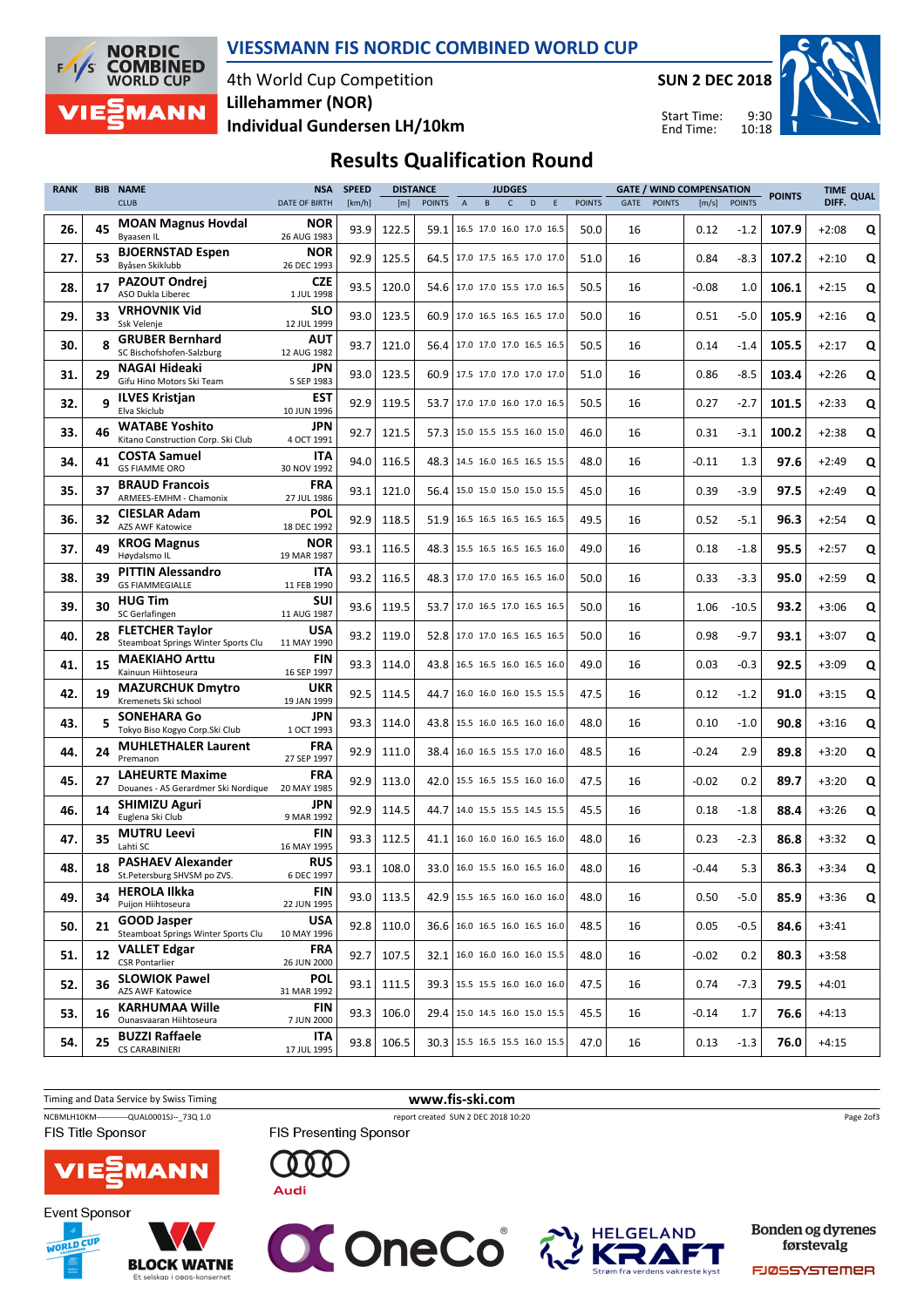

#### VIESSMANN FIS NORDIC COMBINED WORLD CUP

4th World Cup Competition Individual Gundersen LH/10km Lillehammer (NOR)

SUN 2 DEC 2018

Start Time: End Time:



### Results Qualification Round

| <b>RANK</b> | <b>BIB</b> | <b>NAME</b>                                                   | <b>NSA</b>                | <b>SPEED</b> | <b>DISTANCE</b> |               |                                 |   | <b>JUDGES</b> |   |   |               |             |               | <b>GATE / WIND COMPENSATION</b> |               | <b>POINTS</b> | <b>TIME</b> | <b>QUAL</b> |
|-------------|------------|---------------------------------------------------------------|---------------------------|--------------|-----------------|---------------|---------------------------------|---|---------------|---|---|---------------|-------------|---------------|---------------------------------|---------------|---------------|-------------|-------------|
|             |            | <b>CLUB</b>                                                   | <b>DATE OF BIRTH</b>      | [km/h]       | [m]             | <b>POINTS</b> | $\overline{A}$                  | B | $\mathsf{C}$  | D | Ε | <b>POINTS</b> | <b>GATE</b> | <b>POINTS</b> | [m/s]                           | <b>POINTS</b> |               | DIFF.       |             |
| 26.         | 45         | <b>MOAN Magnus Hovdal</b><br>Byaasen IL                       | <b>NOR</b><br>26 AUG 1983 | 93.9         | 122.5           |               | 59.1   16.5 17.0 16.0 17.0 16.5 |   |               |   |   | 50.0          | 16          |               | 0.12                            | $-1.2$        | 107.9         | $+2:08$     | Q           |
| 27.         | 53         | <b>BJOERNSTAD Espen</b><br>Byåsen Skiklubb                    | NOR<br>26 DEC 1993        | 92.9         | 125.5           |               | 64.5   17.0 17.5 16.5 17.0 17.0 |   |               |   |   | 51.0          | 16          |               | 0.84                            | -8.3          | 107.2         | $+2:10$     | Q           |
| 28.         | 17         | <b>PAZOUT Ondrej</b><br>ASO Dukla Liberec                     | <b>CZE</b><br>1 JUL 1998  | 93.5         | 120.0           |               | 54.6 17.0 17.0 15.5 17.0 16.5   |   |               |   |   | 50.5          | 16          |               | $-0.08$                         | 1.0           | 106.1         | $+2:15$     | Q           |
| 29.         | 33         | <b>VRHOVNIK Vid</b><br>Ssk Velenje                            | <b>SLO</b><br>12 JUL 1999 | 93.0         | 123.5           |               | 60.9 17.0 16.5 16.5 16.5 17.0   |   |               |   |   | 50.0          | 16          |               | 0.51                            | -5.0          | 105.9         | $+2:16$     | Q           |
| 30.         | 8          | <b>GRUBER Bernhard</b><br>SC Bischofshofen-Salzburg           | AUT<br>12 AUG 1982        | 93.7         | 121.0           |               | 56.4 17.0 17.0 17.0 16.5 16.5   |   |               |   |   | 50.5          | 16          |               | 0.14                            | $-1.4$        | 105.5         | $+2:17$     | Q           |
| 31.         | 29         | <b>NAGAI Hideaki</b><br>Gifu Hino Motors Ski Team             | JPN<br>5 SEP 1983         | 93.0         | 123.5           |               | 60.9 17.5 17.0 17.0 17.0 17.0   |   |               |   |   | 51.0          | 16          |               | 0.86                            | $-8.5$        | 103.4         | $+2:26$     | Q           |
| 32.         | 9          | <b>ILVES Kristjan</b><br>Elva Skiclub                         | <b>EST</b><br>10 JUN 1996 | 92.9         | 119.5           | 53.7          | 17.0 17.0 16.0 17.0 16.5        |   |               |   |   | 50.5          | 16          |               | 0.27                            | $-2.7$        | 101.5         | $+2:33$     | Q           |
| 33.         | 46         | <b>WATABE Yoshito</b><br>Kitano Construction Corp. Ski Club   | JPN<br>4 OCT 1991         | 92.7         | 121.5           | 57.3          | 15.0 15.5 15.5 16.0 15.0        |   |               |   |   | 46.0          | 16          |               | 0.31                            | $-3.1$        | 100.2         | $+2:38$     | Q           |
| 34.         | 41         | <b>COSTA Samuel</b><br><b>GS FIAMME ORO</b>                   | ITA<br>30 NOV 1992        | 94.0         | 116.5           | 48.3          | 14.5 16.0 16.5 16.5 15.5        |   |               |   |   | 48.0          | 16          |               | $-0.11$                         | 1.3           | 97.6          | $+2:49$     | Q           |
| 35.         | 37         | <b>BRAUD Francois</b><br>ARMEES-EMHM - Chamonix               | FRA<br>27 JUL 1986        | 93.1         | 121.0           |               | 56.4 15.0 15.0 15.0 15.0 15.5   |   |               |   |   | 45.0          | 16          |               | 0.39                            | $-3.9$        | 97.5          | $+2:49$     | Q           |
| 36.         | 32         | <b>CIESLAR Adam</b><br><b>AZS AWF Katowice</b>                | POL<br>18 DEC 1992        | 92.9         | 118.5           | 51.9          | 16.5 16.5 16.5 16.5 16.5        |   |               |   |   | 49.5          | 16          |               | 0.52                            | $-5.1$        | 96.3          | $+2:54$     | Q           |
| 37.         | 49         | <b>KROG Magnus</b><br>Høydalsmo IL                            | <b>NOR</b><br>19 MAR 1987 | 93.1         | 116.5           |               | 48.3   15.5 16.5 16.5 16.5 16.0 |   |               |   |   | 49.0          | 16          |               | 0.18                            | $-1.8$        | 95.5          | $+2:57$     | Q           |
| 38.         | 39         | <b>PITTIN Alessandro</b><br><b>GS FIAMMEGIALLE</b>            | ITA<br>11 FEB 1990        | 93.2         | 116.5           |               | 48.3   17.0 17.0 16.5 16.5 16.0 |   |               |   |   | 50.0          | 16          |               | 0.33                            | $-3.3$        | 95.0          | $+2:59$     | Q           |
| 39.         | 30         | <b>HUG Tim</b><br>SC Gerlafingen                              | SUI<br>11 AUG 1987        | 93.6         | 119.5           | 53.7          | 17.0 16.5 17.0 16.5 16.5        |   |               |   |   | 50.0          | 16          |               | 1.06                            | $-10.5$       | 93.2          | $+3:06$     | Q           |
| 40.         | 28         | <b>FLETCHER Taylor</b><br>Steamboat Springs Winter Sports Clu | USA<br>11 MAY 1990        | 93.2         | 119.0           |               | 52.8 17.0 17.0 16.5 16.5 16.5   |   |               |   |   | 50.0          | 16          |               | 0.98                            | $-9.7$        | 93.1          | $+3:07$     | Q           |
| 41.         | 15         | <b>MAEKIAHO Arttu</b><br>Kainuun Hiihtoseura                  | <b>FIN</b><br>16 SEP 1997 | 93.3         | 114.0           | 43.8          | 16.5 16.5 16.0 16.5 16.0        |   |               |   |   | 49.0          | 16          |               | 0.03                            | $-0.3$        | 92.5          | $+3:09$     | Q           |
| 42.         | 19         | <b>MAZURCHUK Dmytro</b><br>Kremenets Ski school               | UKR<br>19 JAN 1999        | 92.5         | 114.5           | 44.7          | 16.0 16.0 16.0 15.5 15.5        |   |               |   |   | 47.5          | 16          |               | 0.12                            | $-1.2$        | 91.0          | $+3:15$     | Q           |
| 43.         |            | <b>SONEHARA Go</b><br>Tokyo Biso Kogyo Corp.Ski Club          | JPN<br>1 OCT 1993         | 93.3         | 114.0           |               | 43.8   15.5 16.0 16.5 16.0 16.0 |   |               |   |   | 48.0          | 16          |               | 0.10                            | $-1.0$        | 90.8          | $+3:16$     | Q           |
| 44.         | 24         | <b>MUHLETHALER Laurent</b><br>Premanon                        | FRA<br>27 SEP 1997        | 92.9         | 111.0           |               | 38.4   16.0 16.5 15.5 17.0 16.0 |   |               |   |   | 48.5          | 16          |               | $-0.24$                         | 2.9           | 89.8          | $+3:20$     | Q           |
| 45.         | 27         | <b>LAHEURTE Maxime</b><br>Douanes - AS Gerardmer Ski Nordique | FRA<br>20 MAY 1985        | 92.9         | 113.0           |               | 42.0   15.5 16.5 15.5 16.0 16.0 |   |               |   |   | 47.5          | 16          |               | $-0.02$                         | 0.2           | 89.7          | $+3:20$     | Q           |
| 46.         | 14         | <b>SHIMIZU Aguri</b><br>Euglena Ski Club                      | JPN<br>9 MAR 1992         | 92.9         | 114.5           | 44.7          | 14.0 15.5 15.5 14.5 15.5        |   |               |   |   | 45.5          | 16          |               | 0.18                            | $-1.8$        | 88.4          | $+3:26$     | Q           |
| 47.         | 35         | <b>MUTRU Leevi</b><br>Lahti SC                                | <b>FIN</b><br>16 MAY 1995 | 93.3         | 112.5           | 41.1          | 16.0 16.0 16.0 16.5 16.0        |   |               |   |   | 48.0          | 16          |               | 0.23                            | $-2.3$        | 86.8          | $+3:32$     | Q           |
| 48.         | 18         | <b>PASHAEV Alexander</b><br>St.Petersburg SHVSM po ZVS.       | <b>RUS</b><br>6 DEC 1997  | 93.1         | 108.0           |               | 33.0 16.0 15.5 16.0 16.5 16.0   |   |               |   |   | 48.0          | 16          |               | $-0.44$                         | 5.3           | 86.3          | $+3:34$     | Q           |
| 49.         | 34         | <b>HEROLA Ilkka</b><br>Puijon Hiihtoseura                     | FIN<br>22 JUN 1995        | 93.0         | 113.5           |               | 42.9 15.5 16.5 16.0 16.0 16.0   |   |               |   |   | 48.0          | 16          |               | 0.50                            | $-5.0$        | 85.9          | $+3:36$     | Q           |
| 50.         | 21         | <b>GOOD Jasper</b><br>Steamboat Springs Winter Sports Clu     | USA<br>10 MAY 1996        | 92.8         | 110.0           |               | 36.6   16.0 16.5 16.0 16.5 16.0 |   |               |   |   | 48.5          | 16          |               | 0.05                            | $-0.5$        | 84.6          | $+3:41$     |             |
| 51.         | 12         | <b>VALLET Edgar</b><br><b>CSR Pontarlier</b>                  | FRA<br>26 JUN 2000        | 92.7         | 107.5           |               | 32.1   16.0 16.0 16.0 16.0 15.5 |   |               |   |   | 48.0          | 16          |               | $-0.02$                         | 0.2           | 80.3          | $+3:58$     |             |
| 52.         | 36         | <b>SLOWIOK Pawel</b><br>AZS AWF Katowice                      | POL<br>31 MAR 1992        | 93.1         | 111.5           |               | 39.3   15.5 15.5 16.0 16.0 16.0 |   |               |   |   | 47.5          | 16          |               | 0.74                            | -7.3          | 79.5          | $+4:01$     |             |
| 53.         | 16         | <b>KARHUMAA Wille</b><br>Ounasvaaran Hiihtoseura              | FIN<br>7 JUN 2000         | 93.3         | 106.0           |               | 29.4   15.0 14.5 16.0 15.0 15.5 |   |               |   |   | 45.5          | 16          |               | $-0.14$                         | 1.7           | 76.6          | $+4:13$     |             |
| 54.         | 25         | <b>BUZZI Raffaele</b><br>CS CARABINIERI                       | ITA.<br>17 JUL 1995       | 93.8         | 106.5           |               | 30.3   15.5 16.5 15.5 16.0 15.5 |   |               |   |   | 47.0          | 16          |               | 0.13                            | $-1.3$        | 76.0          | $+4:15$     |             |











Bonden og dyrenes førstevalg

FJØSSYSTEMER